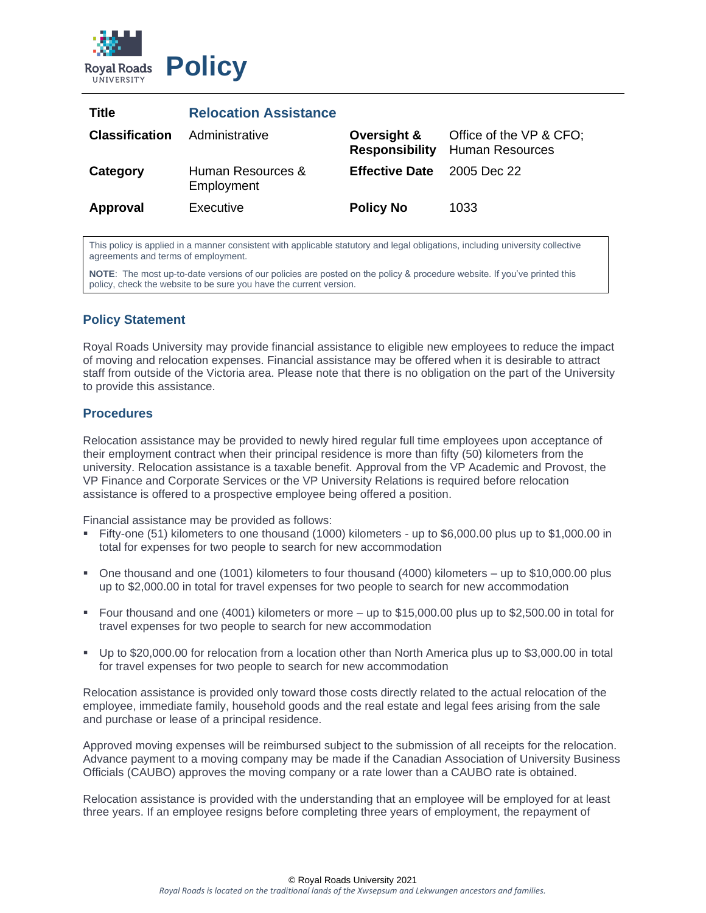

| Title                 | <b>Relocation Assistance</b>    |                                      |                                            |
|-----------------------|---------------------------------|--------------------------------------|--------------------------------------------|
| <b>Classification</b> | Administrative                  | Oversight &<br><b>Responsibility</b> | Office of the VP & CFO;<br>Human Resources |
| Category              | Human Resources &<br>Employment | <b>Effective Date</b>                | 2005 Dec 22                                |
| Approval              | Executive                       | <b>Policy No</b>                     | 1033                                       |

This policy is applied in a manner consistent with applicable statutory and legal obligations, including university collective agreements and terms of employment.

**NOTE**: The most up-to-date versions of our policies are posted on the policy & procedure website. If you've printed this policy, check the website to be sure you have the current version.

## **Policy Statement**

Royal Roads University may provide financial assistance to eligible new employees to reduce the impact of moving and relocation expenses. Financial assistance may be offered when it is desirable to attract staff from outside of the Victoria area. Please note that there is no obligation on the part of the University to provide this assistance.

## **Procedures**

Relocation assistance may be provided to newly hired regular full time employees upon acceptance of their employment contract when their principal residence is more than fifty (50) kilometers from the university. Relocation assistance is a taxable benefit. Approval from the VP Academic and Provost, the VP Finance and Corporate Services or the VP University Relations is required before relocation assistance is offered to a prospective employee being offered a position.

Financial assistance may be provided as follows:

- Fifty-one (51) kilometers to one thousand (1000) kilometers up to \$6,000.00 plus up to \$1,000.00 in total for expenses for two people to search for new accommodation
- One thousand and one (1001) kilometers to four thousand (4000) kilometers up to \$10,000.00 plus up to \$2,000.00 in total for travel expenses for two people to search for new accommodation
- Four thousand and one (4001) kilometers or more up to \$15,000.00 plus up to \$2,500.00 in total for travel expenses for two people to search for new accommodation
- Up to \$20,000.00 for relocation from a location other than North America plus up to \$3,000.00 in total for travel expenses for two people to search for new accommodation

Relocation assistance is provided only toward those costs directly related to the actual relocation of the employee, immediate family, household goods and the real estate and legal fees arising from the sale and purchase or lease of a principal residence.

Approved moving expenses will be reimbursed subject to the submission of all receipts for the relocation. Advance payment to a moving company may be made if the Canadian Association of University Business Officials (CAUBO) approves the moving company or a rate lower than a CAUBO rate is obtained.

Relocation assistance is provided with the understanding that an employee will be employed for at least three years. If an employee resigns before completing three years of employment, the repayment of